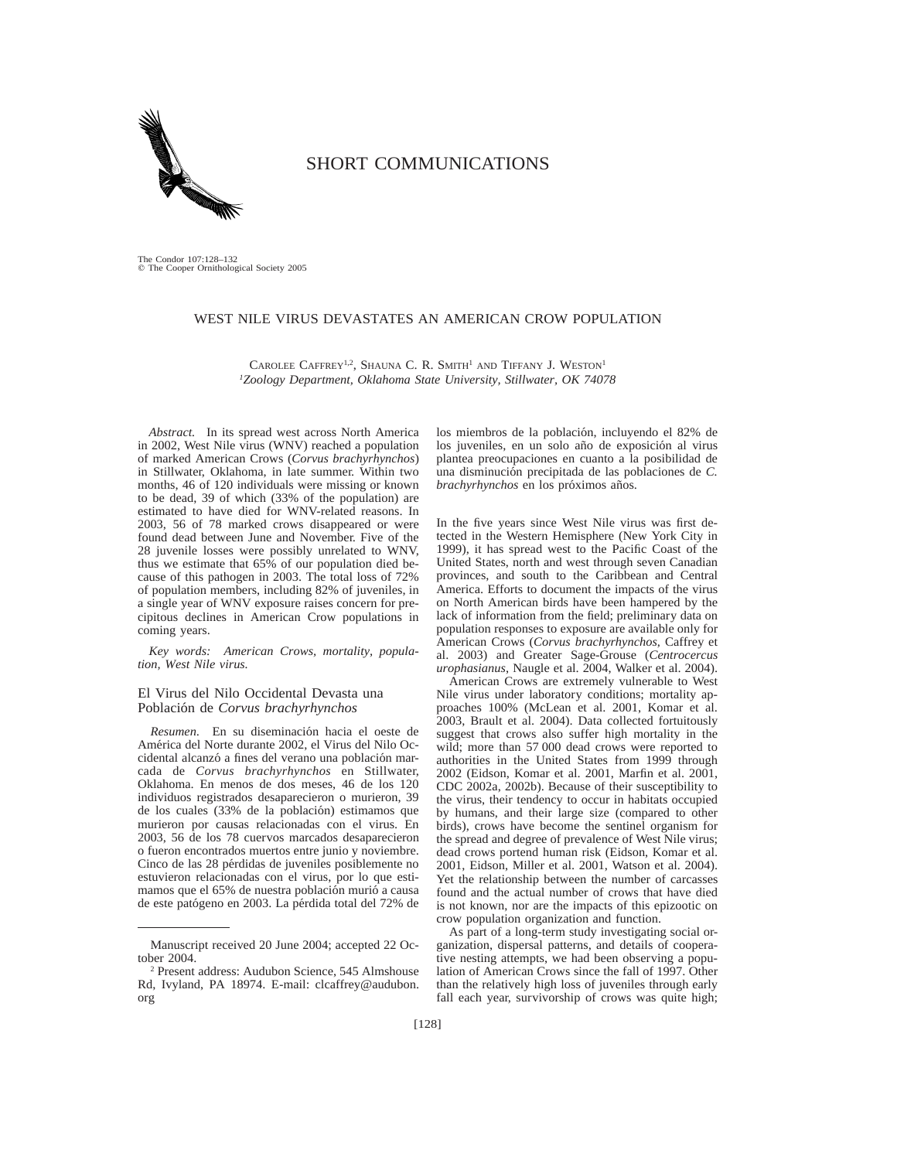

# SHORT COMMUNICATIONS

The Condor 107:128–132 q The Cooper Ornithological Society 2005

# WEST NILE VIRUS DEVASTATES AN AMERICAN CROW POPULATION

CAROLEE CAFFREY<sup>1,2</sup>, SHAUNA C. R. SMITH<sup>1</sup> AND TIFFANY J. WESTON<sup>1</sup> *1Zoology Department, Oklahoma State University, Stillwater, OK 74078*

*Abstract.* In its spread west across North America in 2002, West Nile virus (WNV) reached a population of marked American Crows (*Corvus brachyrhynchos*) in Stillwater, Oklahoma, in late summer. Within two months, 46 of 120 individuals were missing or known to be dead, 39 of which (33% of the population) are estimated to have died for WNV-related reasons. In 2003, 56 of 78 marked crows disappeared or were found dead between June and November. Five of the 28 juvenile losses were possibly unrelated to WNV, thus we estimate that 65% of our population died because of this pathogen in 2003. The total loss of 72% of population members, including 82% of juveniles, in a single year of WNV exposure raises concern for precipitous declines in American Crow populations in coming years.

*Key words: American Crows, mortality, population, West Nile virus.*

#### El Virus del Nilo Occidental Devasta una Poblacio´n de *Corvus brachyrhynchos*

*Resumen.* En su diseminación hacia el oeste de América del Norte durante 2002, el Virus del Nilo Occidental alcanzó a fines del verano una población marcada de *Corvus brachyrhynchos* en Stillwater, Oklahoma. En menos de dos meses, 46 de los 120 individuos registrados desaparecieron o murieron, 39 de los cuales (33% de la población) estimamos que murieron por causas relacionadas con el virus. En 2003, 56 de los 78 cuervos marcados desaparecieron o fueron encontrados muertos entre junio y noviembre. Cinco de las 28 pérdidas de juveniles posiblemente no estuvieron relacionadas con el virus, por lo que estimamos que el 65% de nuestra población murió a causa de este patógeno en 2003. La pérdida total del 72% de

los miembros de la población, incluyendo el 82% de los juveniles, en un solo año de exposición al virus plantea preocupaciones en cuanto a la posibilidad de una disminución precipitada de las poblaciones de C. *brachyrhynchos* en los próximos años.

In the five years since West Nile virus was first detected in the Western Hemisphere (New York City in 1999), it has spread west to the Pacific Coast of the United States, north and west through seven Canadian provinces, and south to the Caribbean and Central America. Efforts to document the impacts of the virus on North American birds have been hampered by the lack of information from the field; preliminary data on population responses to exposure are available only for American Crows (*Corvus brachyrhynchos*, Caffrey et al. 2003) and Greater Sage-Grouse (*Centrocercus urophasianus*, Naugle et al. 2004, Walker et al. 2004).

American Crows are extremely vulnerable to West Nile virus under laboratory conditions; mortality approaches 100% (McLean et al. 2001, Komar et al. 2003, Brault et al. 2004). Data collected fortuitously suggest that crows also suffer high mortality in the wild; more than 57 000 dead crows were reported to authorities in the United States from 1999 through 2002 (Eidson, Komar et al. 2001, Marfin et al. 2001, CDC 2002a, 2002b). Because of their susceptibility to the virus, their tendency to occur in habitats occupied by humans, and their large size (compared to other birds), crows have become the sentinel organism for the spread and degree of prevalence of West Nile virus; dead crows portend human risk (Eidson, Komar et al. 2001, Eidson, Miller et al. 2001, Watson et al. 2004). Yet the relationship between the number of carcasses found and the actual number of crows that have died is not known, nor are the impacts of this epizootic on crow population organization and function.

As part of a long-term study investigating social organization, dispersal patterns, and details of cooperative nesting attempts, we had been observing a population of American Crows since the fall of 1997. Other than the relatively high loss of juveniles through early fall each year, survivorship of crows was quite high;

Manuscript received 20 June 2004; accepted 22 October 2004.

<sup>2</sup> Present address: Audubon Science, 545 Almshouse Rd, Ivyland, PA 18974. E-mail: clcaffrey@audubon. org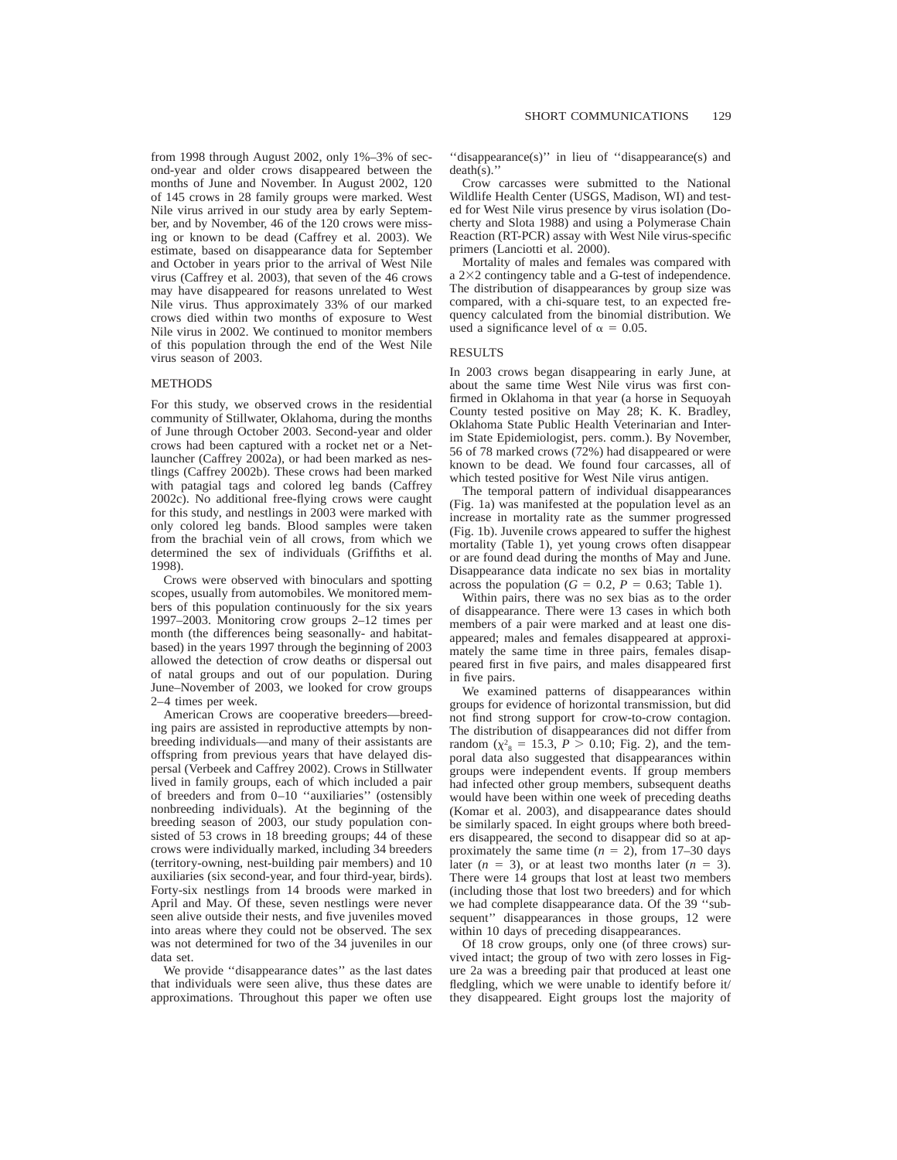from 1998 through August 2002, only 1%–3% of second-year and older crows disappeared between the months of June and November. In August 2002, 120 of 145 crows in 28 family groups were marked. West Nile virus arrived in our study area by early September, and by November, 46 of the 120 crows were missing or known to be dead (Caffrey et al. 2003). We estimate, based on disappearance data for September and October in years prior to the arrival of West Nile virus (Caffrey et al. 2003), that seven of the 46 crows may have disappeared for reasons unrelated to West Nile virus. Thus approximately 33% of our marked crows died within two months of exposure to West Nile virus in 2002. We continued to monitor members of this population through the end of the West Nile virus season of 2003.

### METHODS

For this study, we observed crows in the residential community of Stillwater, Oklahoma, during the months of June through October 2003. Second-year and older crows had been captured with a rocket net or a Netlauncher (Caffrey 2002a), or had been marked as nestlings (Caffrey 2002b). These crows had been marked with patagial tags and colored leg bands (Caffrey 2002c). No additional free-flying crows were caught for this study, and nestlings in 2003 were marked with only colored leg bands. Blood samples were taken from the brachial vein of all crows, from which we determined the sex of individuals (Griffiths et al. 1998).

Crows were observed with binoculars and spotting scopes, usually from automobiles. We monitored members of this population continuously for the six years 1997–2003. Monitoring crow groups 2–12 times per month (the differences being seasonally- and habitatbased) in the years 1997 through the beginning of 2003 allowed the detection of crow deaths or dispersal out of natal groups and out of our population. During June–November of 2003, we looked for crow groups 2–4 times per week.

American Crows are cooperative breeders—breeding pairs are assisted in reproductive attempts by nonbreeding individuals—and many of their assistants are offspring from previous years that have delayed dispersal (Verbeek and Caffrey 2002). Crows in Stillwater lived in family groups, each of which included a pair of breeders and from 0–10 ''auxiliaries'' (ostensibly nonbreeding individuals). At the beginning of the breeding season of 2003, our study population consisted of 53 crows in 18 breeding groups; 44 of these crows were individually marked, including 34 breeders (territory-owning, nest-building pair members) and 10 auxiliaries (six second-year, and four third-year, birds). Forty-six nestlings from 14 broods were marked in April and May. Of these, seven nestlings were never seen alive outside their nests, and five juveniles moved into areas where they could not be observed. The sex was not determined for two of the 34 juveniles in our data set.

We provide ''disappearance dates'' as the last dates that individuals were seen alive, thus these dates are approximations. Throughout this paper we often use

''disappearance(s)'' in lieu of ''disappearance(s) and death(s).''

Crow carcasses were submitted to the National Wildlife Health Center (USGS, Madison, WI) and tested for West Nile virus presence by virus isolation (Docherty and Slota 1988) and using a Polymerase Chain Reaction (RT-PCR) assay with West Nile virus-specific primers (Lanciotti et al. 2000).

Mortality of males and females was compared with a 2×2 contingency table and a G-test of independence. The distribution of disappearances by group size was compared, with a chi-square test, to an expected frequency calculated from the binomial distribution. We used a significance level of  $\alpha = 0.05$ .

## RESULTS

In 2003 crows began disappearing in early June, at about the same time West Nile virus was first confirmed in Oklahoma in that year (a horse in Sequoyah County tested positive on May 28; K. K. Bradley, Oklahoma State Public Health Veterinarian and Interim State Epidemiologist, pers. comm.). By November, 56 of 78 marked crows (72%) had disappeared or were known to be dead. We found four carcasses, all of which tested positive for West Nile virus antigen.

The temporal pattern of individual disappearances (Fig. 1a) was manifested at the population level as an increase in mortality rate as the summer progressed (Fig. 1b). Juvenile crows appeared to suffer the highest mortality (Table 1), yet young crows often disappear or are found dead during the months of May and June. Disappearance data indicate no sex bias in mortality across the population  $(G = 0.2, P = 0.63;$  Table 1).

Within pairs, there was no sex bias as to the order of disappearance. There were 13 cases in which both members of a pair were marked and at least one disappeared; males and females disappeared at approximately the same time in three pairs, females disappeared first in five pairs, and males disappeared first in five pairs.

We examined patterns of disappearances within groups for evidence of horizontal transmission, but did not find strong support for crow-to-crow contagion. The distribution of disappearances did not differ from random ( $\chi^2$ <sub>8</sub> = 15.3, *P* > 0.10; Fig. 2), and the temporal data also suggested that disappearances within groups were independent events. If group members had infected other group members, subsequent deaths would have been within one week of preceding deaths (Komar et al. 2003), and disappearance dates should be similarly spaced. In eight groups where both breeders disappeared, the second to disappear did so at approximately the same time  $(n = 2)$ , from 17–30 days later  $(n = 3)$ , or at least two months later  $(n = 3)$ . There were 14 groups that lost at least two members (including those that lost two breeders) and for which we had complete disappearance data. Of the 39 ''subsequent'' disappearances in those groups, 12 were within 10 days of preceding disappearances.

Of 18 crow groups, only one (of three crows) survived intact; the group of two with zero losses in Figure 2a was a breeding pair that produced at least one fledgling, which we were unable to identify before it/ they disappeared. Eight groups lost the majority of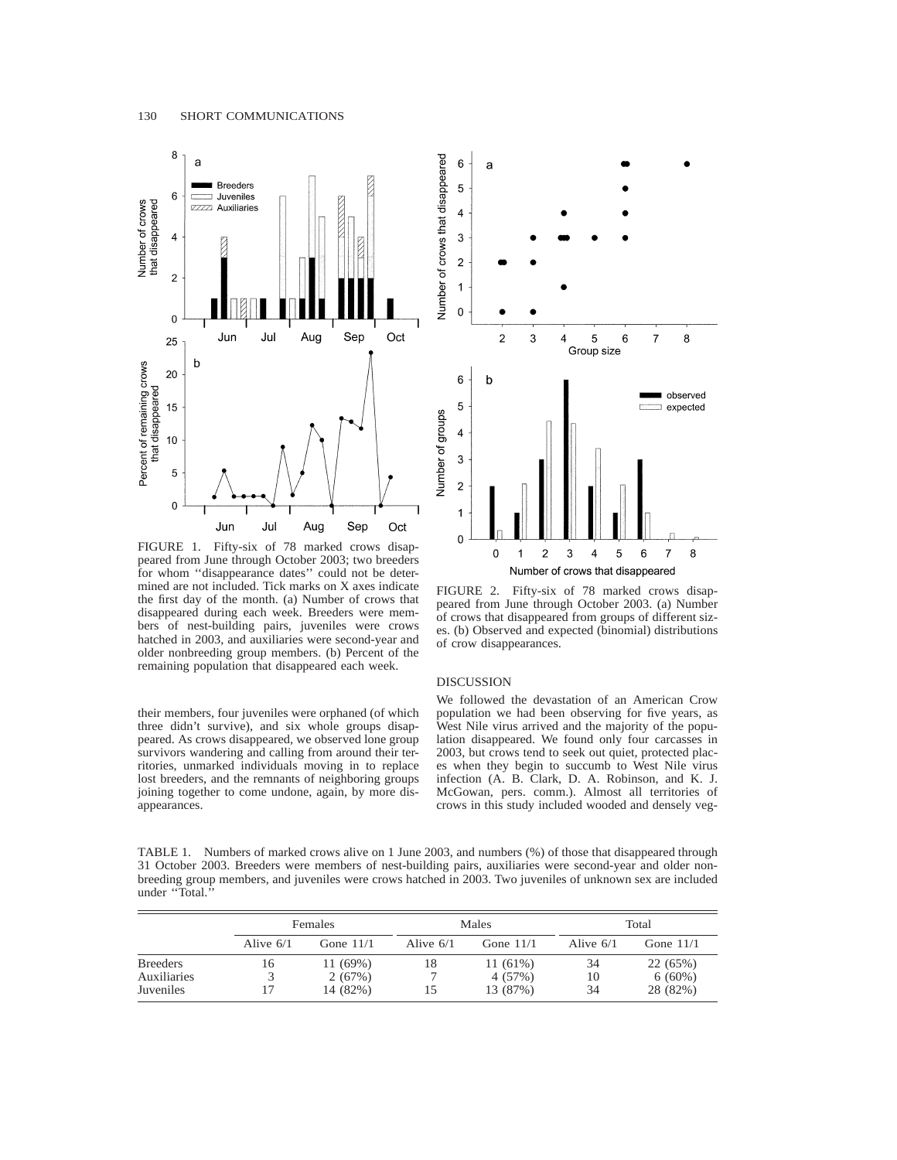

FIGURE 1. Fifty-six of 78 marked crows disappeared from June through October 2003; two breeders for whom ''disappearance dates'' could not be determined are not included. Tick marks on X axes indicate the first day of the month. (a) Number of crows that disappeared during each week. Breeders were members of nest-building pairs, juveniles were crows hatched in 2003, and auxiliaries were second-year and older nonbreeding group members. (b) Percent of the remaining population that disappeared each week.

their members, four juveniles were orphaned (of which three didn't survive), and six whole groups disappeared. As crows disappeared, we observed lone group survivors wandering and calling from around their territories, unmarked individuals moving in to replace lost breeders, and the remnants of neighboring groups joining together to come undone, again, by more disappearances.



FIGURE 2. Fifty-six of 78 marked crows disappeared from June through October 2003. (a) Number of crows that disappeared from groups of different sizes. (b) Observed and expected (binomial) distributions of crow disappearances.

#### DISCUSSION

We followed the devastation of an American Crow population we had been observing for five years, as West Nile virus arrived and the majority of the population disappeared. We found only four carcasses in 2003, but crows tend to seek out quiet, protected places when they begin to succumb to West Nile virus infection (A. B. Clark, D. A. Robinson, and K. J. McGowan, pers. comm.). Almost all territories of crows in this study included wooded and densely veg-

TABLE 1. Numbers of marked crows alive on 1 June 2003, and numbers (%) of those that disappeared through 31 October 2003. Breeders were members of nest-building pairs, auxiliaries were second-year and older nonbreeding group members, and juveniles were crows hatched in 2003. Two juveniles of unknown sex are included under ''Total.''

|                                             |             | Females                       |             | Males                             |                | Total                             |  |
|---------------------------------------------|-------------|-------------------------------|-------------|-----------------------------------|----------------|-----------------------------------|--|
|                                             | Alive $6/1$ | Gone $11/1$                   | Alive $6/1$ | Gone $11/1$                       | Alive $6/1$    | Gone $11/1$                       |  |
| <b>Breeders</b><br>Auxiliaries<br>Juveniles | 16          | 11(69%)<br>2(67%)<br>14 (82%) | 18          | $11(61\%)$<br>4 (57%)<br>13 (87%) | 34<br>10<br>34 | 22 (65%)<br>$6(60\%)$<br>28 (82%) |  |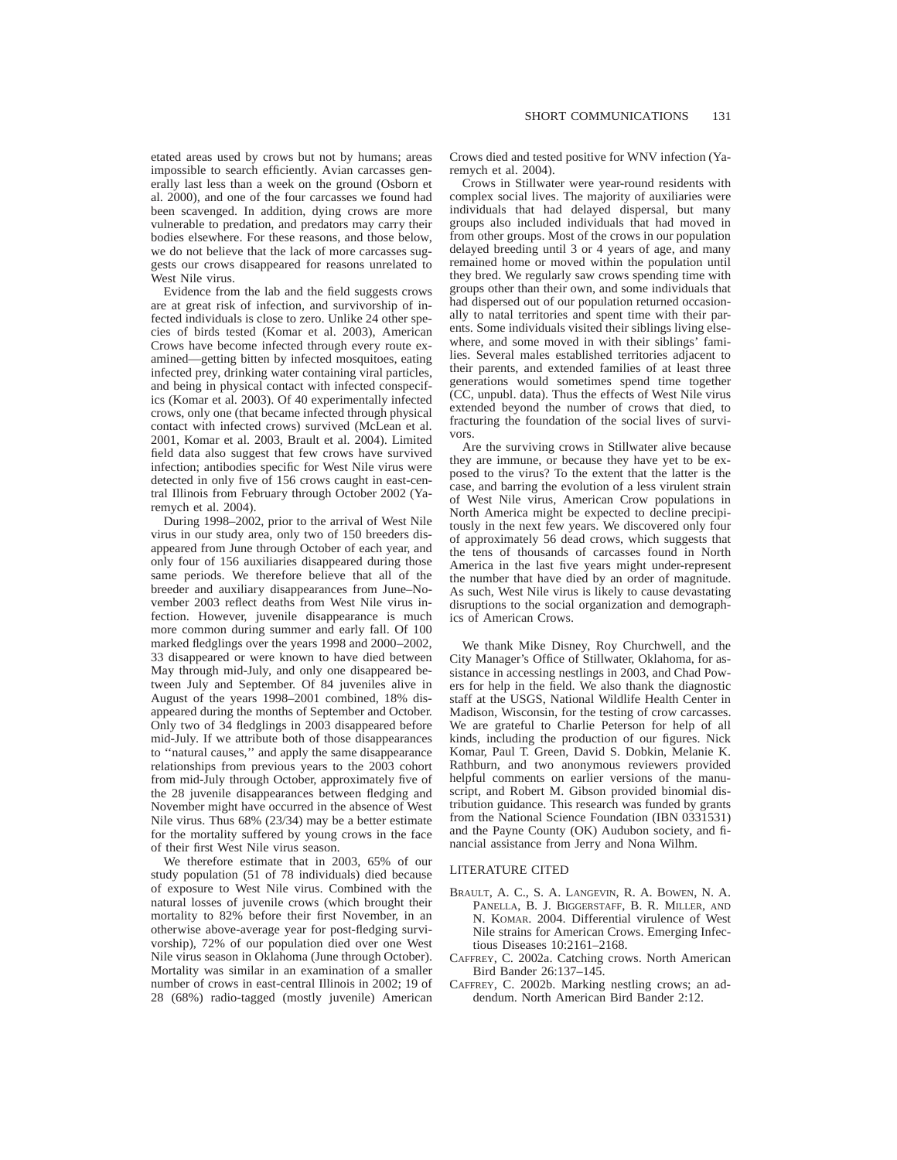etated areas used by crows but not by humans; areas impossible to search efficiently. Avian carcasses generally last less than a week on the ground (Osborn et al. 2000), and one of the four carcasses we found had been scavenged. In addition, dying crows are more vulnerable to predation, and predators may carry their bodies elsewhere. For these reasons, and those below, we do not believe that the lack of more carcasses suggests our crows disappeared for reasons unrelated to West Nile virus.

Evidence from the lab and the field suggests crows are at great risk of infection, and survivorship of infected individuals is close to zero. Unlike 24 other species of birds tested (Komar et al. 2003), American Crows have become infected through every route examined—getting bitten by infected mosquitoes, eating infected prey, drinking water containing viral particles, and being in physical contact with infected conspecifics (Komar et al. 2003). Of 40 experimentally infected crows, only one (that became infected through physical contact with infected crows) survived (McLean et al. 2001, Komar et al. 2003, Brault et al. 2004). Limited field data also suggest that few crows have survived infection; antibodies specific for West Nile virus were detected in only five of 156 crows caught in east-central Illinois from February through October 2002 (Yaremych et al. 2004).

During 1998–2002, prior to the arrival of West Nile virus in our study area, only two of 150 breeders disappeared from June through October of each year, and only four of 156 auxiliaries disappeared during those same periods. We therefore believe that all of the breeder and auxiliary disappearances from June–November 2003 reflect deaths from West Nile virus infection. However, juvenile disappearance is much more common during summer and early fall. Of 100 marked fledglings over the years 1998 and 2000–2002, 33 disappeared or were known to have died between May through mid-July, and only one disappeared between July and September. Of 84 juveniles alive in August of the years 1998–2001 combined, 18% disappeared during the months of September and October. Only two of 34 fledglings in 2003 disappeared before mid-July. If we attribute both of those disappearances to ''natural causes,'' and apply the same disappearance relationships from previous years to the 2003 cohort from mid-July through October, approximately five of the 28 juvenile disappearances between fledging and November might have occurred in the absence of West Nile virus. Thus 68% (23/34) may be a better estimate for the mortality suffered by young crows in the face of their first West Nile virus season.

We therefore estimate that in 2003, 65% of our study population (51 of 78 individuals) died because of exposure to West Nile virus. Combined with the natural losses of juvenile crows (which brought their mortality to 82% before their first November, in an otherwise above-average year for post-fledging survivorship), 72% of our population died over one West Nile virus season in Oklahoma (June through October). Mortality was similar in an examination of a smaller number of crows in east-central Illinois in 2002; 19 of 28 (68%) radio-tagged (mostly juvenile) American

Crows died and tested positive for WNV infection (Yaremych et al. 2004).

Crows in Stillwater were year-round residents with complex social lives. The majority of auxiliaries were individuals that had delayed dispersal, but many groups also included individuals that had moved in from other groups. Most of the crows in our population delayed breeding until 3 or 4 years of age, and many remained home or moved within the population until they bred. We regularly saw crows spending time with groups other than their own, and some individuals that had dispersed out of our population returned occasionally to natal territories and spent time with their parents. Some individuals visited their siblings living elsewhere, and some moved in with their siblings' families. Several males established territories adjacent to their parents, and extended families of at least three generations would sometimes spend time together (CC, unpubl. data). Thus the effects of West Nile virus extended beyond the number of crows that died, to fracturing the foundation of the social lives of survivors.

Are the surviving crows in Stillwater alive because they are immune, or because they have yet to be exposed to the virus? To the extent that the latter is the case, and barring the evolution of a less virulent strain of West Nile virus, American Crow populations in North America might be expected to decline precipitously in the next few years. We discovered only four of approximately 56 dead crows, which suggests that the tens of thousands of carcasses found in North America in the last five years might under-represent the number that have died by an order of magnitude. As such, West Nile virus is likely to cause devastating disruptions to the social organization and demographics of American Crows.

We thank Mike Disney, Roy Churchwell, and the City Manager's Office of Stillwater, Oklahoma, for assistance in accessing nestlings in 2003, and Chad Powers for help in the field. We also thank the diagnostic staff at the USGS, National Wildlife Health Center in Madison, Wisconsin, for the testing of crow carcasses. We are grateful to Charlie Peterson for help of all kinds, including the production of our figures. Nick Komar, Paul T. Green, David S. Dobkin, Melanie K. Rathburn, and two anonymous reviewers provided helpful comments on earlier versions of the manuscript, and Robert M. Gibson provided binomial distribution guidance. This research was funded by grants from the National Science Foundation (IBN 0331531) and the Payne County (OK) Audubon society, and financial assistance from Jerry and Nona Wilhm.

#### LITERATURE CITED

- BRAULT, A. C., S. A. LANGEVIN, R. A. BOWEN, N. A. PANELLA, B. J. BIGGERSTAFF, B. R. MILLER, AND N. KOMAR. 2004. Differential virulence of West Nile strains for American Crows. Emerging Infectious Diseases 10:2161–2168.
- CAFFREY, C. 2002a. Catching crows. North American Bird Bander 26:137–145.
- CAFFREY, C. 2002b. Marking nestling crows; an addendum. North American Bird Bander 2:12.